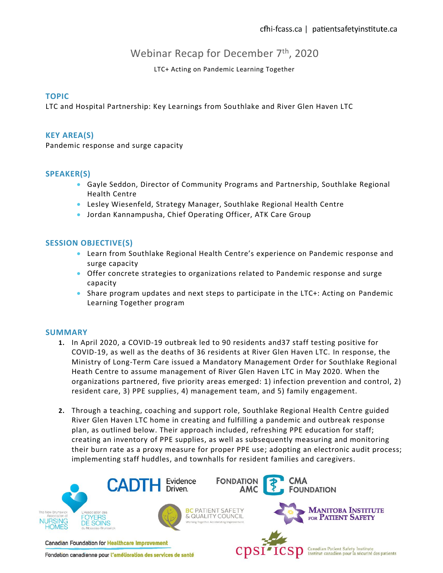# Webinar Recap for December 7<sup>th</sup>, 2020

LTC+ Acting on Pandemic Learning Together

### **TOPIC**

LTC and Hospital Partnership: Key Learnings from Southlake and River Glen Haven LTC

#### **KEY AREA(S)**

Pandemic response and surge capacity

### **SPEAKER(S)**

- Gayle Seddon, Director of Community Programs and Partnership, Southlake Regional Health Centre
- Lesley Wiesenfeld, Strategy Manager, Southlake Regional Health Centre
- Jordan Kannampusha, Chief Operating Officer, ATK Care Group

## **SESSION OBJECTIVE(S)**

- Learn from Southlake Regional Health Centre's experience on Pandemic response and surge capacity
- Offer concrete strategies to organizations related to Pandemic response and surge capacity
- Share program updates and next steps to participate in the LTC+: Acting on Pandemic Learning Together program

#### **SUMMARY**

- **1.** In April 2020, a COVID-19 outbreak led to 90 residents and37 staff testing positive for COVID-19, as well as the deaths of 36 residents at River Glen Haven LTC. In response, the Ministry of Long-Term Care issued a Mandatory Management Order for Southlake Regional Heath Centre to assume management of River Glen Haven LTC in May 2020. When the organizations partnered, five priority areas emerged: 1) infection prevention and control, 2) resident care, 3) PPE supplies, 4) management team, and 5) family engagement.
- **2.** Through a teaching, coaching and support role, Southlake Regional Health Centre guided River Glen Haven LTC home in creating and fulfilling a pandemic and outbreak response plan, as outlined below. Their approach included, refreshing PPE education for staff; creating an inventory of PPE supplies, as well as subsequently measuring and monitoring their burn rate as a proxy measure for proper PPE use; adopting an electronic audit process; implementing staff huddles, and townhalls for resident families and caregivers.



Fondation canadienne pour l'amélioration des services de santé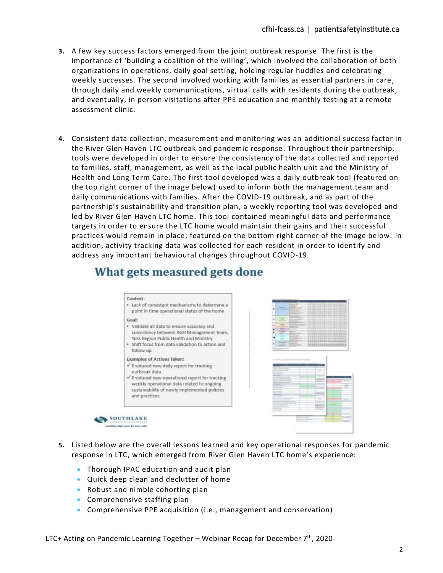- **3.** A few key success factors emerged from the joint outbreak response. The first is the importance of 'building a coalition of the willing', which involved the collaboration of both organizations in operations, daily goal setting, holding regular huddles and celebrating weekly successes. The second involved working with families as essential partners in care, through daily and weekly communications, virtual calls with residents during the outbreak, and eventually, in person visitations after PPE education and monthly testing at a remote assessment clinic.
- **4.** Consistent data collection, measurement and monitoring was an additional success factor in the River Glen Haven LTC outbreak and pandemic response. Throughout their partnership, tools were developed in order to ensure the consistency of the data collected and reported to families, staff, management, as well as the local public health unit and the Ministry of Health and Long Term Care. The first tool developed was a daily outbreak tool (featured on the top right corner of the image below) used to inform both the management team and daily communications with families. After the COVID-19 outbreak, and as part of the partnership's sustainability and transition plan, a weekly reporting tool was developed and led by River Glen Haven LTC home. This tool contained meaningful data and performance targets in order to ensure the LTC home would maintain their gains and their successful practices would remain in place; featured on the bottom right corner of the image below. In addition, activity tracking data was collected for each resident in order to identify and address any important behavioural changes throughout COVID-19.

# What gets measured gets done

#### Context: · Lack of consistent mechanisms to determine a point in time operational status of the home Goal: · Validate all data to ensure accuracy and consistency between RGH Management Team, York Region Public Health and Ministry · Shift focus from data validation to action and follow-up **Examples of Actions Taken:** Produced new daily report for tracking outbreak data produced new operational report for tracking weekly operational data related to ongoing sustainability of newly implemented policies and practices SOUTHLAKE



- **5.** Listed below are the overall lessons learned and key operational responses for pandemic response in LTC, which emerged from River Glen Haven LTC home's experience:
	- Thorough IPAC education and audit plan
	- Quick deep clean and declutter of home
	- Robust and nimble cohorting plan
	- Comprehensive staffing plan
	- Comprehensive PPE acquisition (i.e., management and conservation)